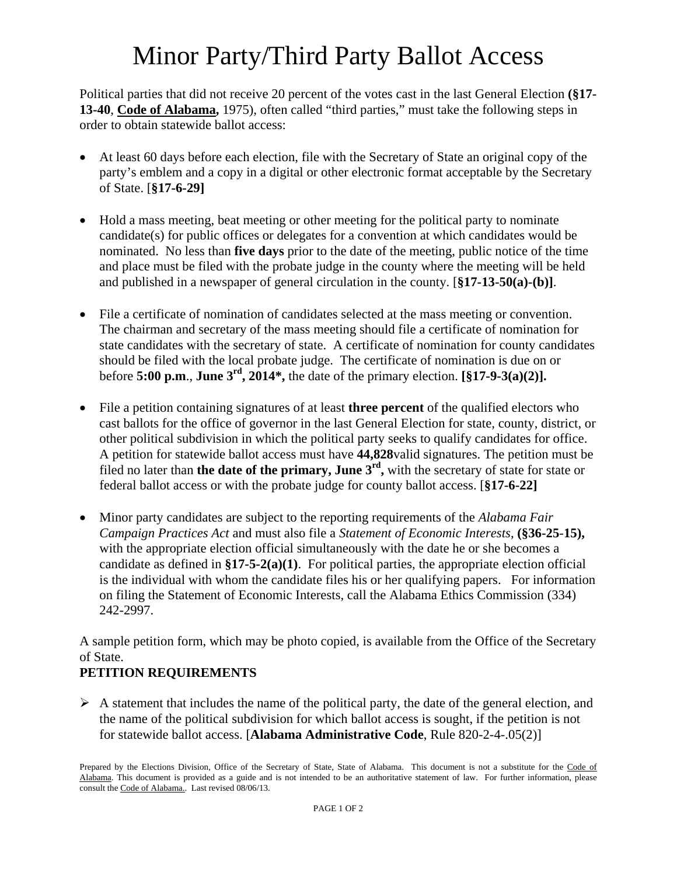# Minor Party/Third Party Ballot Access

Political parties that did not receive 20 percent of the votes cast in the last General Election **(§17- 13-40**, **Code of Alabama,** 1975), often called "third parties," must take the following steps in order to obtain statewide ballot access:

- At least 60 days before each election, file with the Secretary of State an original copy of the party's emblem and a copy in a digital or other electronic format acceptable by the Secretary of State. [**§17-6-29]**
- Hold a mass meeting, beat meeting or other meeting for the political party to nominate candidate(s) for public offices or delegates for a convention at which candidates would be nominated. No less than **five days** prior to the date of the meeting, public notice of the time and place must be filed with the probate judge in the county where the meeting will be held and published in a newspaper of general circulation in the county. [**§17-13-50(a)-(b)]**.
- File a certificate of nomination of candidates selected at the mass meeting or convention. The chairman and secretary of the mass meeting should file a certificate of nomination for state candidates with the secretary of state. A certificate of nomination for county candidates should be filed with the local probate judge. The certificate of nomination is due on or before **5:00 p.m**., **June 3rd, 2014\*,** the date of the primary election. **[§17-9-3(a)(2)].**
- File a petition containing signatures of at least **three percent** of the qualified electors who cast ballots for the office of governor in the last General Election for state, county, district, or other political subdivision in which the political party seeks to qualify candidates for office. A petition for statewide ballot access must have **44,828**valid signatures. The petition must be filed no later than **the date of the primary, June 3rd,** with the secretary of state for state or federal ballot access or with the probate judge for county ballot access. [**§17-6-22]**
- Minor party candidates are subject to the reporting requirements of the *Alabama Fair Campaign Practices Act* and must also file a *Statement of Economic Interests*, **(§36-25**-**15),**  with the appropriate election official simultaneously with the date he or she becomes a candidate as defined in **§17-5-2(a)(1)**. For political parties, the appropriate election official is the individual with whom the candidate files his or her qualifying papers. For information on filing the Statement of Economic Interests, call the Alabama Ethics Commission (334) 242-2997.

A sample petition form, which may be photo copied, is available from the Office of the Secretary of State.

### **PETITION REQUIREMENTS**

 $\triangleright$  A statement that includes the name of the political party, the date of the general election, and the name of the political subdivision for which ballot access is sought, if the petition is not for statewide ballot access. [**Alabama Administrative Code**, Rule 820-2-4-.05(2)]

Prepared by the Elections Division, Office of the Secretary of State, State of Alabama. This document is not a substitute for the Code of Alabama. This document is provided as a guide and is not intended to be an authoritative statement of law. For further information, please consult the Code of Alabama.. Last revised 08/06/13.